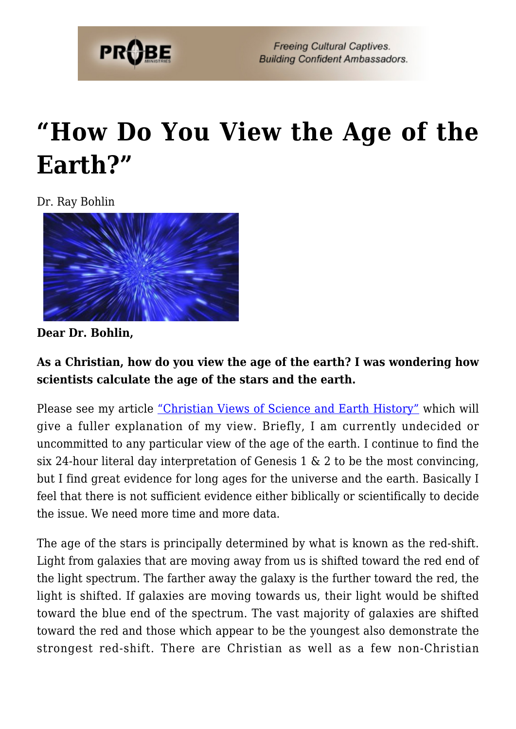

## **["How Do You View the Age of the](https://probe.org/how-do-you-view-the-age-of-the-earth/) [Earth?"](https://probe.org/how-do-you-view-the-age-of-the-earth/)**

Dr. Ray Bohlin



**Dear Dr. Bohlin,**

**As a Christian, how do you view the age of the earth? I was wondering how scientists calculate the age of the stars and the earth.**

Please see my article ["Christian Views of Science and Earth History"](https://www.probe.org/christian-views-of-science-and-earth-history/) which will give a fuller explanation of my view. Briefly, I am currently undecided or uncommitted to any particular view of the age of the earth. I continue to find the six 24-hour literal day interpretation of Genesis 1  $\&$  2 to be the most convincing, but I find great evidence for long ages for the universe and the earth. Basically I feel that there is not sufficient evidence either biblically or scientifically to decide the issue. We need more time and more data.

The age of the stars is principally determined by what is known as the red-shift. Light from galaxies that are moving away from us is shifted toward the red end of the light spectrum. The farther away the galaxy is the further toward the red, the light is shifted. If galaxies are moving towards us, their light would be shifted toward the blue end of the spectrum. The vast majority of galaxies are shifted toward the red and those which appear to be the youngest also demonstrate the strongest red-shift. There are Christian as well as a few non-Christian